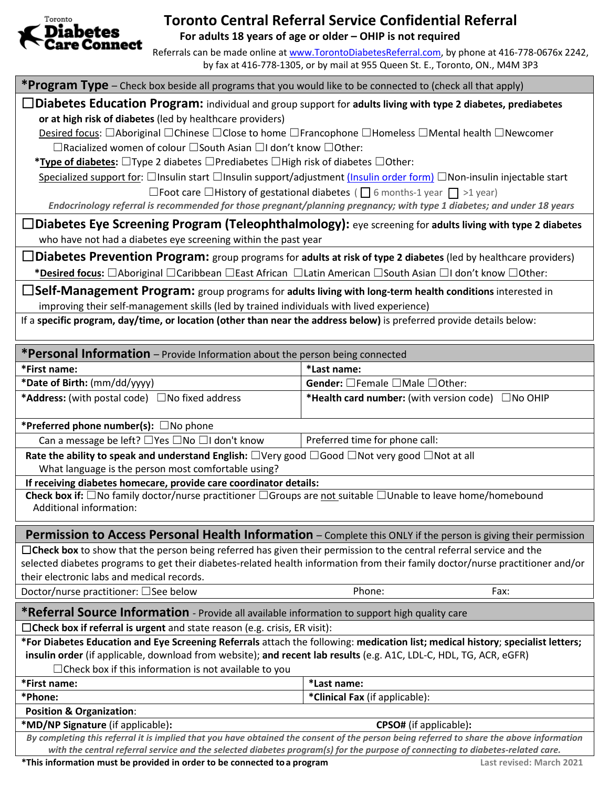

## **Toronto Central Referral Service Confidential Referral**

**For adults 18 years of age or older – OHIP is not required**

Referrals can be made online at [www.TorontoDiabetesReferral.com,](http://www.torontodiabetesreferral.com/) by phone at 416-778-0676x 2242, by fax at 416-778-1305, or by mail at 955 Queen St. E., Toronto, ON., M4M 3P3

**\*Program Type** – Check box beside all programs that you would like to be connected to (check all that apply)

☐**Diabetes Education Program:** individual and group support for **adults living with type 2 diabetes, prediabetes or at high risk of diabetes** (led by healthcare providers)

Desired focus: □Aboriginal □Chinese □Close to home □Francophone □Homeless □Mental health □Newcomer ☐Racialized women of colour ☐South Asian ☐I don't know ☐Other:

**\*Type of diabetes:** ☐Type 2 diabetes ☐Prediabetes ☐High risk of diabetes ☐Other:

Specialized support for: □Insulin start □Insulin support/adjustment [\(Insulin order form\)](https://www.torontodiabetesreferral.com/wp-content/uploads/2018/05/TDCC-Insulin-Order-Prescription-Form-April-2018.pdf) □Non-insulin injectable start

□Foot care □History of gestational diabetes (□ 6 months-1 year □ >1 year) *Endocrinology referral is recommended for those pregnant/planning pregnancy; with type 1 diabetes; and under 18 years*

☐**Diabetes Eye Screening Program (Teleophthalmology):** eye screening for **adults living with type 2 diabetes** who have not had a diabetes eye screening within the past year

☐**Diabetes Prevention Program:** group programs for **adults at risk of type 2 diabetes** (led by healthcare providers) **\*Desired focus:** ☐Aboriginal ☐Caribbean ☐East African ☐Latin American ☐South Asian ☐I don't know ☐Other:

☐**Self-Management Program:** group programs for **adults living with long-term health conditions** interested in improving their self-management skills (led by trained individuals with lived experience)

If a **specific program, day/time, or location (other than near the address below)** is preferred provide details below:

| <b>*Personal Information</b> – Provide Information about the person being connected                                                                                          |                                                   |  |  |
|------------------------------------------------------------------------------------------------------------------------------------------------------------------------------|---------------------------------------------------|--|--|
| *First name:                                                                                                                                                                 | *Last name:                                       |  |  |
| *Date of Birth: (mm/dd/yyyy)                                                                                                                                                 | Gender: □Female □Male □Other:                     |  |  |
| <b>*Address:</b> (with postal code) □No fixed address                                                                                                                        | *Health card number: (with version code) ONo OHIP |  |  |
| *Preferred phone number(s): $\square$ No phone                                                                                                                               |                                                   |  |  |
| Can a message be left? □ Yes □ No □ I don't know                                                                                                                             | Preferred time for phone call:                    |  |  |
| Rate the ability to speak and understand English: $\Box$ Very good $\Box$ Good $\Box$ Not very good $\Box$ Not at all<br>What language is the person most comfortable using? |                                                   |  |  |
| If receiving diabetes homecare, provide care coordinator details:                                                                                                            |                                                   |  |  |
| Check box if: $\Box$ No family doctor/nurse practitioner $\Box$ Groups are not suitable $\Box$ Unable to leave home/homebound<br>Additional information:                     |                                                   |  |  |
| Permission to Access Personal Health Information - Complete this ONLY if the person is giving their permission                                                               |                                                   |  |  |
| $\Box$ Check box to show that the person being referred has given their permission to the central referral service and the                                                   |                                                   |  |  |
| selected diabetes programs to get their diabetes-related health information from their family doctor/nurse practitioner and/or                                               |                                                   |  |  |
| their electronic labs and medical records.                                                                                                                                   |                                                   |  |  |
| Doctor/nurse practitioner: □ See below                                                                                                                                       | Phone:<br>Fax:                                    |  |  |
| *Referral Source Information - Provide all available information to support high quality care                                                                                |                                                   |  |  |
| □ Check box if referral is urgent and state reason (e.g. crisis, ER visit):                                                                                                  |                                                   |  |  |
| *For Diabetes Education and Eye Screening Referrals attach the following: medication list; medical history; specialist letters;                                              |                                                   |  |  |
| insulin order (if applicable, download from website); and recent lab results (e.g. A1C, LDL-C, HDL, TG, ACR, eGFR)                                                           |                                                   |  |  |
| $\Box$ Check box if this information is not available to you                                                                                                                 |                                                   |  |  |
| *First name:                                                                                                                                                                 | *Last name:                                       |  |  |
| *Phone:                                                                                                                                                                      | *Clinical Fax (if applicable):                    |  |  |
| <b>Position &amp; Organization:</b>                                                                                                                                          |                                                   |  |  |
| *MD/NP Signature (if applicable):                                                                                                                                            | <b>CPSO#</b> (if applicable):                     |  |  |
| By completing this referral it is implied that you have obtained the consent of the person being referred to share the above information                                     |                                                   |  |  |
| with the central referral service and the selected diabetes program(s) for the purpose of connecting to diabetes-related care.                                               |                                                   |  |  |
| *This information must be provided in order to be connected to a program<br>Last revised: March 2021                                                                         |                                                   |  |  |